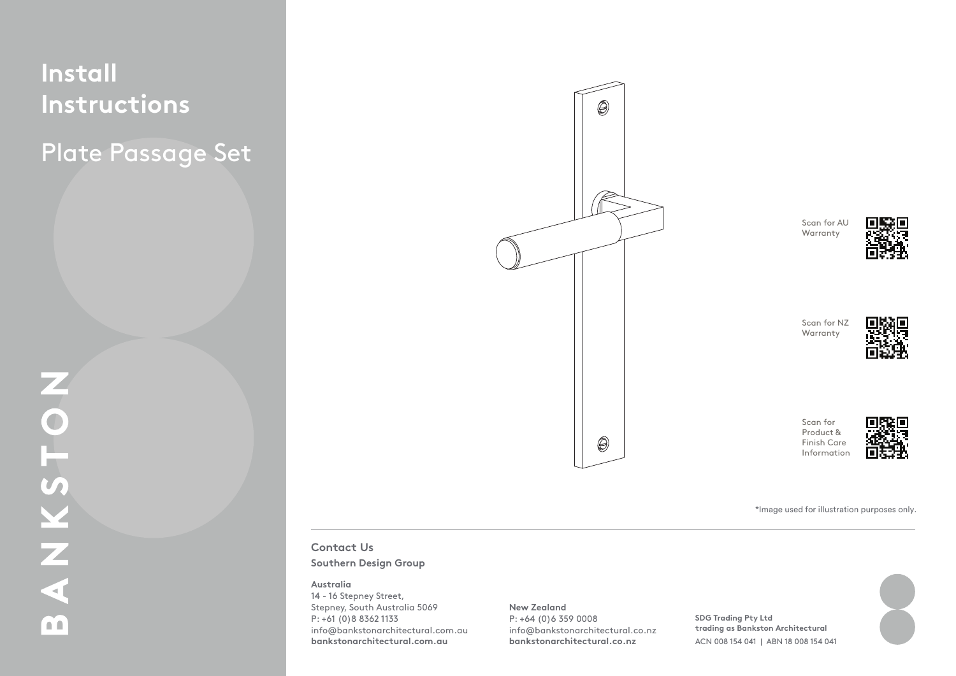## **Install Instructions** Plate Passage Set

Plate Passage Set



 $\frac{1}{2}$ 

**Instructions** 1.1. Mark the edge of your door at the desired height

**Contact Us**

# **2. Install Latch & Striker Plate Southern Design Group**

#### **Australia**

**3. Prepare Tie Bolts** 

As per supplier instructions. Stepney, South Australia 5069 14 - 16 Stepney Street, P: +61 (0)8 8362 1133 info@bankstonarchitectural.com.au **bankstonarchitectural.com.au**

**New Zealand** P: +64 (0)6 359 0008 info@bankstonarchitectural.co.nz

**bankstonarchitectural.co.nz**

 $4.1.1.$  Place the spin distribution into the local body from the local body from the local body from the local body from the local body from the local body from the local body from the local body from the local body from either side of the door\*. **trading as Bankston Architectural** 12. Install the halves on either side of the door, in the door, in the door, in the door, in the door, in the door, in the door, in the door, in the door, in the door, in the door, in the door, in the door, in the door, in **SDG Trading Pty Ltd** 



\*Image used for illustration purposes only.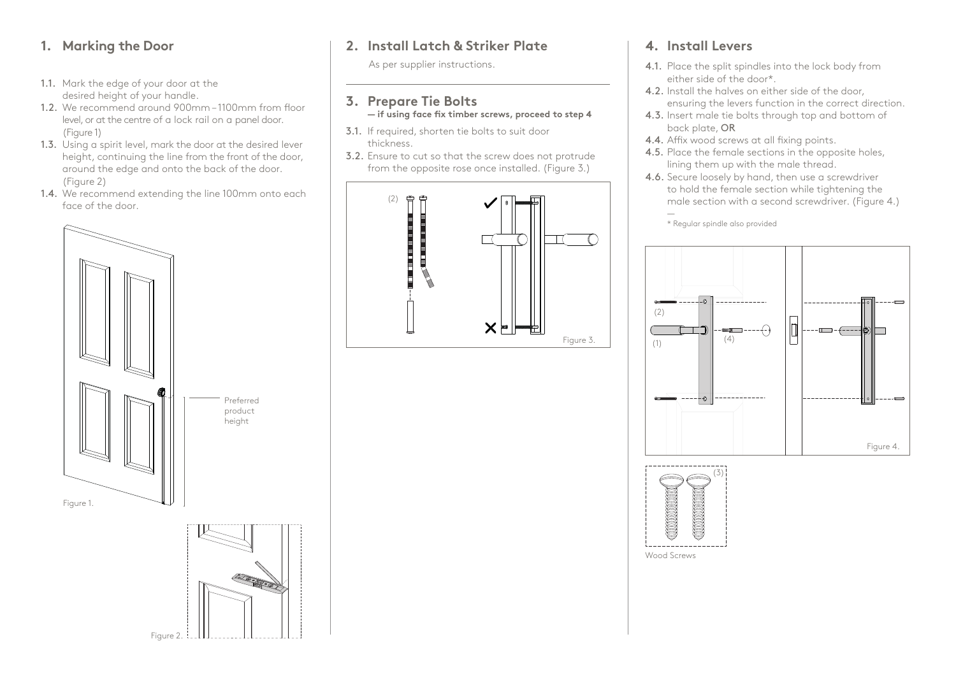### **1. Marking the Door**

- 1.1. Mark the edge of your door at the desired height of your handle.
- 1.2. We recommend around 900mm 1100mm from floor level, or at the centre of a lock rail on a panel door. (Figure 1)
- 1.3. Using a spirit level, mark the door at the desired lever height, continuing the line from the front of the door, around the edge and onto the back of the door. (Figure 2)
- 1.4. We recommend extending the line 100mm onto each face of the door.



Figure 2.

## **2. Install Latch & Striker Plate**

As per supplier instructions.

### **3. Prepare Tie Bolts — if using face fix timber screws, proceed to step 4**

- 3.1. If required, shorten tie bolts to suit door thickness.
- 3.2. Ensure to cut so that the screw does not protrude from the opposite rose once installed. (Figure 3.)



### **4. Install Levers**

- 4.1. Place the split spindles into the lock body from either side of the door\*.
- 4.2. Install the halves on either side of the door, ensuring the levers function in the correct direction.
- 4.3. Insert male tie bolts through top and bottom of back plate, OR
- 4.4. Affix wood screws at all fixing points.
- 4.5. Place the female sections in the opposite holes, lining them up with the male thread.
- 4.6. Secure loosely by hand, then use a screwdriver to hold the female section while tightening the male section with a second screwdriver. (Figure 4.)

— \* Regular spindle also provided





Wood Screws